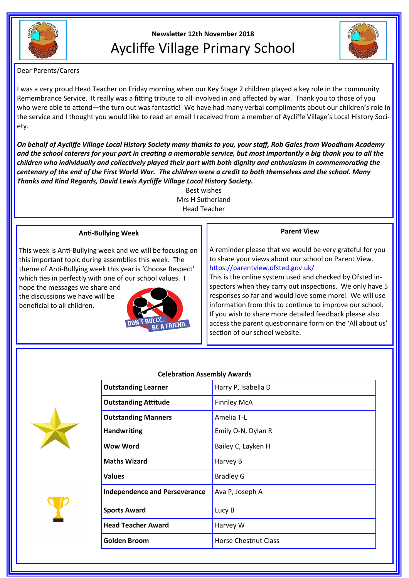

# **Newsletter 12th November 2018** Aycliffe Village Primary School



Dear Parents/Carers

I was a very proud Head Teacher on Friday morning when our Key Stage 2 children played a key role in the community Remembrance Service. It really was a fitting tribute to all involved in and affected by war. Thank you to those of you who were able to attend—the turn out was fantastic! We have had many verbal compliments about our children's role in the service and I thought you would like to read an email I received from a member of Aycliffe Village's Local History Society.

*On behalf of Aycliffe Village Local History Society many thanks to you, your staff, Rob Gales from Woodham Academy and the school caterers for your part in creating a memorable service, but most importantly a big thank you to all the children who individually and collectively played their part with both dignity and enthusiasm in commemorating the centenary of the end of the First World War. The children were a credit to both themselves and the school. Many Thanks and Kind Regards, David Lewis Aycliffe Village Local History Society.*

Best wishes Mrs H Sutherland Head Teacher

## **Anti-Bullying Week**

This week is Anti-Bullying week and we will be focusing on this important topic during assemblies this week. The theme of Anti-Bullying week this year is 'Choose Respect' which ties in perfectly with one of our school values. I hope the messages we share and

the discussions we have will be beneficial to all children.



# **Parent View**

A reminder please that we would be very grateful for you to share your views about our school on Parent View. https://parentview.ofsted.gov.uk/

This is the online system used and checked by Ofsted inspectors when they carry out inspections. We only have 5 responses so far and would love some more! We will use information from this to continue to improve our school. If you wish to share more detailed feedback please also access the parent questionnaire form on the 'All about us' section of our school website.





| <b><i>Contract Contract Contract Contract Contract Contract Contract Contract Contract Contract Contract Contract Contract Contract Contract Contract Contract Contract Contract Contract Contract Contract Contract Contract Cont</i></b> |  |
|--------------------------------------------------------------------------------------------------------------------------------------------------------------------------------------------------------------------------------------------|--|
|                                                                                                                                                                                                                                            |  |
|                                                                                                                                                                                                                                            |  |
|                                                                                                                                                                                                                                            |  |

| <b>Outstanding Learner</b>           | Harry P, Isabella D         |
|--------------------------------------|-----------------------------|
| <b>Outstanding Attitude</b>          | <b>Finnley McA</b>          |
| <b>Outstanding Manners</b>           | Amelia T-L                  |
| <b>Handwriting</b>                   | Emily O-N, Dylan R          |
| <b>Wow Word</b>                      | Bailey C, Layken H          |
| <b>Maths Wizard</b>                  | Harvey B                    |
| <b>Values</b>                        | <b>Bradley G</b>            |
| <b>Independence and Perseverance</b> | Ava P, Joseph A             |
| <b>Sports Award</b>                  | Lucy B                      |
| <b>Head Teacher Award</b>            | Harvey W                    |
| Golden Broom                         | <b>Horse Chestnut Class</b> |
|                                      |                             |